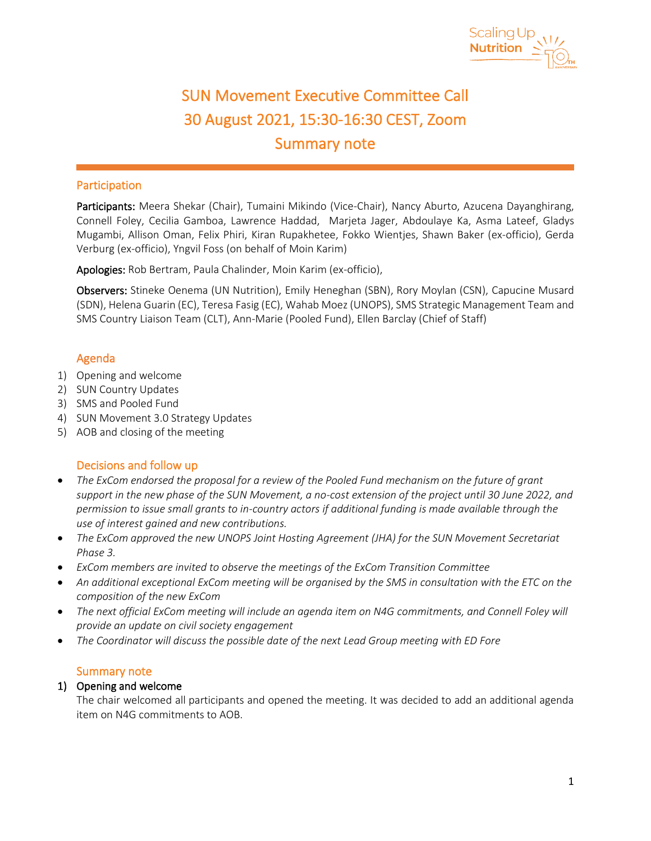

 $\mathbf{r}$ 

# SUN Movement Executive Committee Call 30 August 2021, 15:30-16:30 CEST, Zoom Summary note

# Participation

Participants: Meera Shekar (Chair), Tumaini Mikindo (Vice-Chair), Nancy Aburto, Azucena Dayanghirang, Connell Foley, Cecilia Gamboa, Lawrence Haddad, Marjeta Jager, Abdoulaye Ka, Asma Lateef, Gladys Mugambi, Allison Oman, Felix Phiri, Kiran Rupakhetee, Fokko Wientjes, Shawn Baker (ex-officio), Gerda Verburg (ex-officio), Yngvil Foss (on behalf of Moin Karim)

Apologies: Rob Bertram, Paula Chalinder, Moin Karim (ex-officio),

Observers: Stineke Oenema (UN Nutrition), Emily Heneghan (SBN), Rory Moylan (CSN), Capucine Musard (SDN), Helena Guarin (EC), Teresa Fasig (EC), Wahab Moez (UNOPS), SMS Strategic Management Team and SMS Country Liaison Team (CLT), Ann-Marie (Pooled Fund), Ellen Barclay (Chief of Staff)

# Agenda

- 1) Opening and welcome
- 2) SUN Country Updates
- 3) SMS and Pooled Fund
- 4) SUN Movement 3.0 Strategy Updates
- 5) AOB and closing of the meeting

# Decisions and follow up

- *The ExCom endorsed the proposal for a review of the Pooled Fund mechanism on the future of grant support in the new phase of the SUN Movement, a no-cost extension of the project until 30 June 2022, and permission to issue small grants to in-country actors if additional funding is made available through the use of interest gained and new contributions.*
- *The ExCom approved the new UNOPS Joint Hosting Agreement (JHA) for the SUN Movement Secretariat Phase 3.*
- *ExCom members are invited to observe the meetings of the ExCom Transition Committee*
- *An additional exceptional ExCom meeting will be organised by the SMS in consultation with the ETC on the composition of the new ExCom*
- *The next official ExCom meeting will include an agenda item on N4G commitments, and Connell Foley will provide an update on civil society engagement*
- *The Coordinator will discuss the possible date of the next Lead Group meeting with ED Fore*

## Summary note

## 1) Opening and welcome

The chair welcomed all participants and opened the meeting. It was decided to add an additional agenda item on N4G commitments to AOB.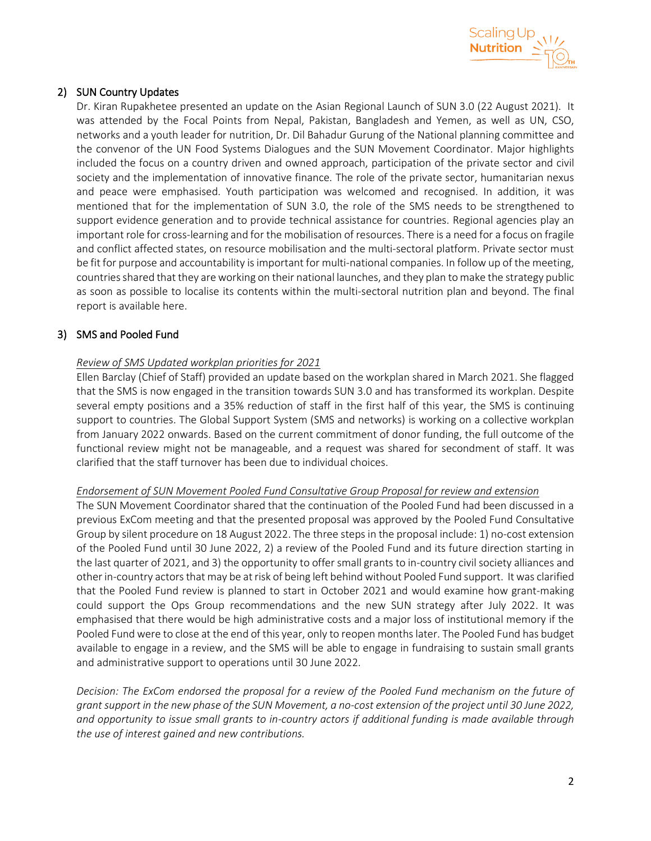

# 2) SUN Country Updates

Dr. Kiran Rupakhetee presented an update on the Asian Regional Launch of SUN 3.0 (22 August 2021). It was attended by the Focal Points from Nepal, Pakistan, Bangladesh and Yemen, as well as UN, CSO, networks and a youth leader for nutrition, Dr. Dil Bahadur Gurung of the National planning committee and the convenor of the UN Food Systems Dialogues and the SUN Movement Coordinator. Major highlights included the focus on a country driven and owned approach, participation of the private sector and civil society and the implementation of innovative finance. The role of the private sector, humanitarian nexus and peace were emphasised. Youth participation was welcomed and recognised. In addition, it was mentioned that for the implementation of SUN 3.0, the role of the SMS needs to be strengthened to support evidence generation and to provide technical assistance for countries. Regional agencies play an important role for cross-learning and for the mobilisation of resources. There is a need for a focus on fragile and conflict affected states, on resource mobilisation and the multi-sectoral platform. Private sector must be fit for purpose and accountability is important for multi-national companies. In follow up of the meeting, countriesshared that they are working on their national launches, and they plan to make the strategy public as soon as possible to localise its contents within the multi-sectoral nutrition plan and beyond. The final report is available here.

## 3) SMS and Pooled Fund

## *Review of SMS Updated workplan priorities for 2021*

Ellen Barclay (Chief of Staff) provided an update based on the workplan shared in March 2021. She flagged that the SMS is now engaged in the transition towards SUN 3.0 and has transformed its workplan. Despite several empty positions and a 35% reduction of staff in the first half of this year, the SMS is continuing support to countries. The Global Support System (SMS and networks) is working on a collective workplan from January 2022 onwards. Based on the current commitment of donor funding, the full outcome of the functional review might not be manageable, and a request was shared for secondment of staff. It was clarified that the staff turnover has been due to individual choices.

#### *Endorsement of SUN Movement Pooled Fund Consultative Group Proposal for review and extension*

The SUN Movement Coordinator shared that the continuation of the Pooled Fund had been discussed in a previous ExCom meeting and that the presented proposal was approved by the Pooled Fund Consultative Group by silent procedure on 18 August 2022. The three steps in the proposal include: 1) no-cost extension of the Pooled Fund until 30 June 2022, 2) a review of the Pooled Fund and its future direction starting in the last quarter of 2021, and 3) the opportunity to offer small grants to in-country civil society alliances and other in-country actorsthat may be at risk of being left behind without Pooled Fund support. It was clarified that the Pooled Fund review is planned to start in October 2021 and would examine how grant-making could support the Ops Group recommendations and the new SUN strategy after July 2022. It was emphasised that there would be high administrative costs and a major loss of institutional memory if the Pooled Fund were to close at the end of this year, only to reopen months later. The Pooled Fund has budget available to engage in a review, and the SMS will be able to engage in fundraising to sustain small grants and administrative support to operations until 30 June 2022.

*Decision: The ExCom endorsed the proposal for a review of the Pooled Fund mechanism on the future of grant support in the new phase of the SUN Movement, a no-cost extension of the project until 30 June 2022, and opportunity to issue small grants to in-country actors if additional funding is made available through the use of interest gained and new contributions.*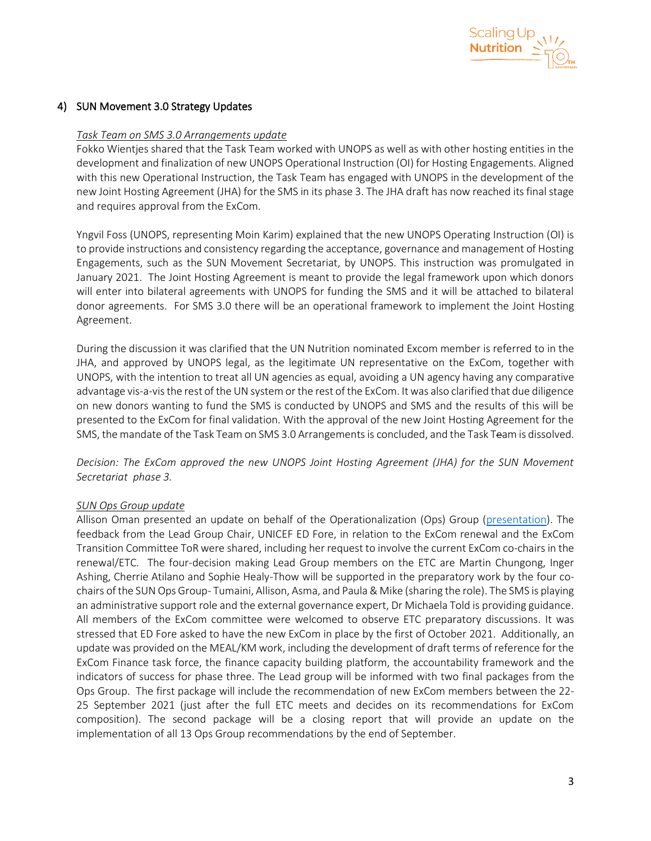

#### 4) SUN Movement 3.0 Strategy Updates

#### *Task Team on SMS 3.0 Arrangements update*

Fokko Wientjes shared that the Task Team worked with UNOPS as well as with other hosting entities in the development and finalization of new UNOPS Operational Instruction (OI) for Hosting Engagements. Aligned with this new Operational Instruction, the Task Team has engaged with UNOPS in the development of the new Joint Hosting Agreement (JHA) for the SMS in its phase 3. The JHA draft has now reached its final stage and requires approval from the ExCom.

Yngvil Foss (UNOPS, representing Moin Karim) explained that the new UNOPS Operating Instruction (OI) is to provide instructions and consistency regarding the acceptance, governance and management of Hosting Engagements, such as the SUN Movement Secretariat, by UNOPS. This instruction was promulgated in January 2021. The Joint Hosting Agreement is meant to provide the legal framework upon which donors will enter into bilateral agreements with UNOPS for funding the SMS and it will be attached to bilateral donor agreements. For SMS 3.0 there will be an operational framework to implement the Joint Hosting Agreement.

During the discussion it was clarified that the UN Nutrition nominated Excom member is referred to in the JHA, and approved by UNOPS legal, as the legitimate UN representative on the ExCom, together with UNOPS, with the intention to treat all UN agencies as equal, avoiding a UN agency having any comparative advantage vis-a-vis the rest of the UN system or the rest of the ExCom. It was also clarified that due diligence on new donors wanting to fund the SMS is conducted by UNOPS and SMS and the results of this will be presented to the ExCom for final validation. With the approval of the new Joint Hosting Agreement for the SMS, the mandate of the Task Team on SMS 3.0 Arrangements is concluded, and the Task Team is dissolved.

*Decision: The ExCom approved the new UNOPS Joint Hosting Agreement (JHA) for the SUN Movement Secretariat phase 3.* 

#### *SUN Ops Group update*

Allison Oman presented an update on behalf of the Operationalization (Ops) Group [\(presentation\)](https://scalingupnutrition.sharepoint.com/:b:/s/public55/Ec8qXoJ7ogBOit2EKFPJg0EBhZF9thVmdmzAca2x4M3v7Q?e=3gDa1u). The feedback from the Lead Group Chair, UNICEF ED Fore, in relation to the ExCom renewal and the ExCom Transition Committee ToR were shared, including her request to involve the current ExCom co-chairs in the renewal/ETC. The four-decision making Lead Group members on the ETC are Martin Chungong, Inger Ashing, Cherrie Atilano and Sophie Healy-Thow will be supported in the preparatory work by the four cochairs of the SUN Ops Group- Tumaini, Allison, Asma, and Paula & Mike (sharing the role). The SMS is playing an administrative support role and the external governance expert, Dr Michaela Told is providing guidance. All members of the ExCom committee were welcomed to observe ETC preparatory discussions. It was stressed that ED Fore asked to have the new ExCom in place by the first of October 2021. Additionally, an update was provided on the MEAL/KM work, including the development of draft terms of reference for the ExCom Finance task force, the finance capacity building platform, the accountability framework and the indicators of success for phase three. The Lead group will be informed with two final packages from the Ops Group. The first package will include the recommendation of new ExCom members between the 22- 25 September 2021 (just after the full ETC meets and decides on its recommendations for ExCom composition). The second package will be a closing report that will provide an update on the implementation of all 13 Ops Group recommendations by the end of September.